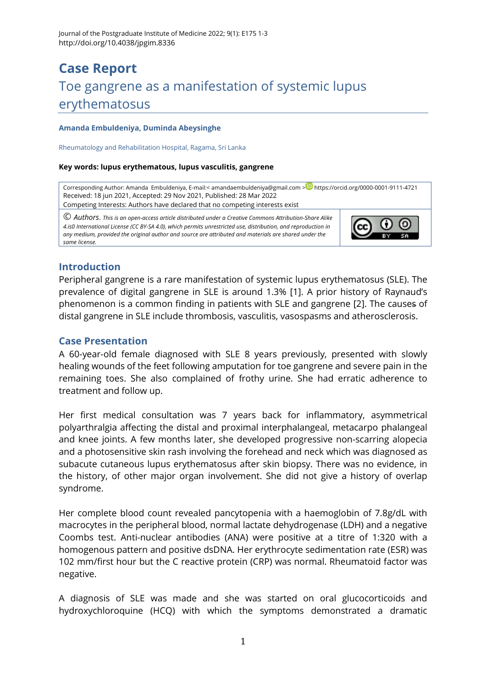# **Case Report** Toe gangrene as a manifestation of systemic lupus erythematosus

#### **Amanda Embuldeniya, Duminda Abeysinghe**

Rheumatology and Rehabilitation Hospital, Ragama, Sri Lanka

#### **Key words: lupus erythematous, lupus vasculitis, gangrene**

Corresponding Author: Amanda Embuldeniya, E-mail:< [amandaembuldeniya@gmail.com](mailto:amandaembuldeniya@gmail.com) > **D**<https://orcid.org/0000-0001-9111-4721> Received: 18 jun 2021, Accepted: 29 Nov 2021, Published: 28 Mar 2022 Competing Interests: Authors have declared that no competing interests exist

© *Authors*. *This is an open-access article distributed under a [Creative Commons Attribution-Share Alike](http://creativecommons.org/licenses/by-sa/4.0/)  [4.is0 International License](http://creativecommons.org/licenses/by-sa/4.0/) (CC BY-SA 4.0), which permits unrestricted use, distribution, and reproduction in any medium, provided the original author and source are attributed and materials are shared under the same license.* 



## **Introduction**

Peripheral gangrene is a rare manifestation of systemic lupus erythematosus (SLE). The prevalence of digital gangrene in SLE is around 1.3% [\[1\]](#page-2-0). A prior history of Raynaud's phenomenon is a common finding in patients with SLE and gangrene [\[2\]](#page-2-1). The causes of distal gangrene in SLE include thrombosis, vasculitis, vasospasms and atherosclerosis.

#### **Case Presentation**

A 60-year-old female diagnosed with SLE 8 years previously, presented with slowly healing wounds of the feet following amputation for toe gangrene and severe pain in the remaining toes. She also complained of frothy urine. She had erratic adherence to treatment and follow up.

Her first medical consultation was 7 years back for inflammatory, asymmetrical polyarthralgia affecting the distal and proximal interphalangeal, metacarpo phalangeal and knee joints. A few months later, she developed progressive non-scarring alopecia and a photosensitive skin rash involving the forehead and neck which was diagnosed as subacute cutaneous lupus erythematosus after skin biopsy. There was no evidence, in the history, of other major organ involvement. She did not give a history of overlap syndrome.

Her complete blood count revealed pancytopenia with a haemoglobin of 7.8g/dL with macrocytes in the peripheral blood, normal lactate dehydrogenase (LDH) and a negative Coombs test. Anti-nuclear antibodies (ANA) were positive at a titre of 1:320 with a homogenous pattern and positive dsDNA. Her erythrocyte sedimentation rate (ESR) was 102 mm/first hour but the C reactive protein (CRP) was normal. Rheumatoid factor was negative.

A diagnosis of SLE was made and she was started on oral glucocorticoids and hydroxychloroquine (HCQ) with which the symptoms demonstrated a dramatic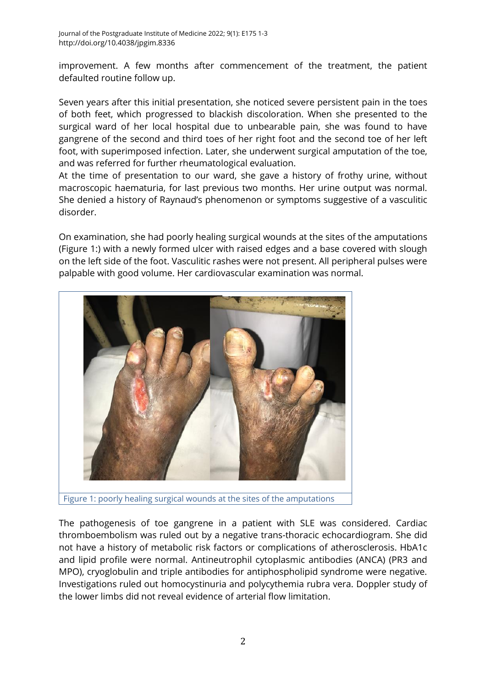improvement. A few months after commencement of the treatment, the patient defaulted routine follow up.

Seven years after this initial presentation, she noticed severe persistent pain in the toes of both feet, which progressed to blackish discoloration. When she presented to the surgical ward of her local hospital due to unbearable pain, she was found to have gangrene of the second and third toes of her right foot and the second toe of her left foot, with superimposed infection. Later, she underwent surgical amputation of the toe, and was referred for further rheumatological evaluation.

At the time of presentation to our ward, she gave a history of frothy urine, without macroscopic haematuria, for last previous two months. Her urine output was normal. She denied a history of Raynaud's phenomenon or symptoms suggestive of a vasculitic disorder.

On examination, she had poorly healing surgical wounds at the sites of the amputations (Figure 1:) with a newly formed ulcer with raised edges and a base covered with slough on the left side of the foot. Vasculitic rashes were not present. All peripheral pulses were palpable with good volume. Her cardiovascular examination was normal.



Figure 1: poorly healing surgical wounds at the sites of the amputations

The pathogenesis of toe gangrene in a patient with SLE was considered. Cardiac thromboembolism was ruled out by a negative trans-thoracic echocardiogram. She did not have a history of metabolic risk factors or complications of atherosclerosis. HbA1c and lipid profile were normal. Antineutrophil cytoplasmic antibodies (ANCA) (PR3 and MPO), cryoglobulin and triple antibodies for antiphospholipid syndrome were negative. Investigations ruled out homocystinuria and polycythemia rubra vera. Doppler study of the lower limbs did not reveal evidence of arterial flow limitation.